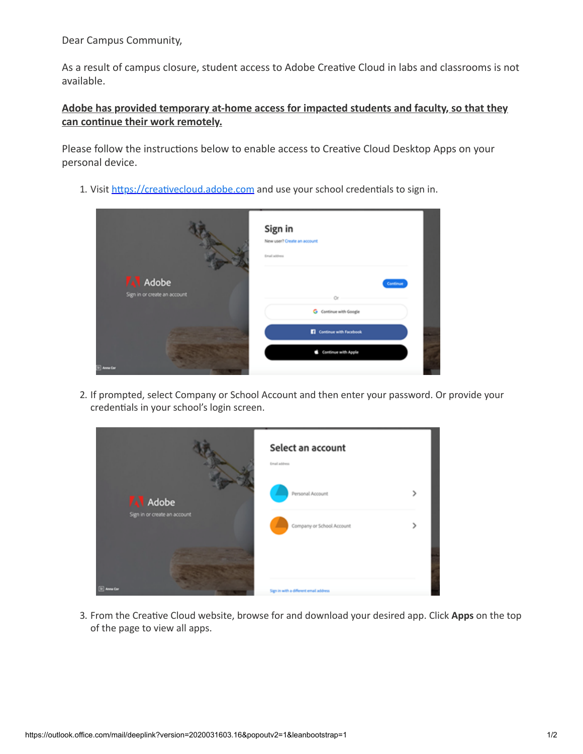Dear Campus Community,

As a result of campus closure, student access to Adobe Creative Cloud in labs and classrooms is not available.

## **Adobe has provided temporary at-home access for impacted students and faculty, so that they** can continue their work remotely.

Please follow the instructions below to enable access to Creative Cloud Desktop Apps on your personal device.

1. Visit https://creativecloud.adobe.com and use your school credentials to sign in.

|                                         | Sign in<br>New user? Create an account<br>Email address |
|-----------------------------------------|---------------------------------------------------------|
| A Adobe<br>Sign in or create an account | Continue<br>G Continue with Google                      |
|                                         | Continue with Facebook                                  |
| [9] Anna Car                            | Continue with Apple                                     |

2. If prompted, select Company or School Account and then enter your password. Or provide your credentials in your school's login screen.



3. From the Creative Cloud website, browse for and download your desired app. Click Apps on the top of the page to view all apps.